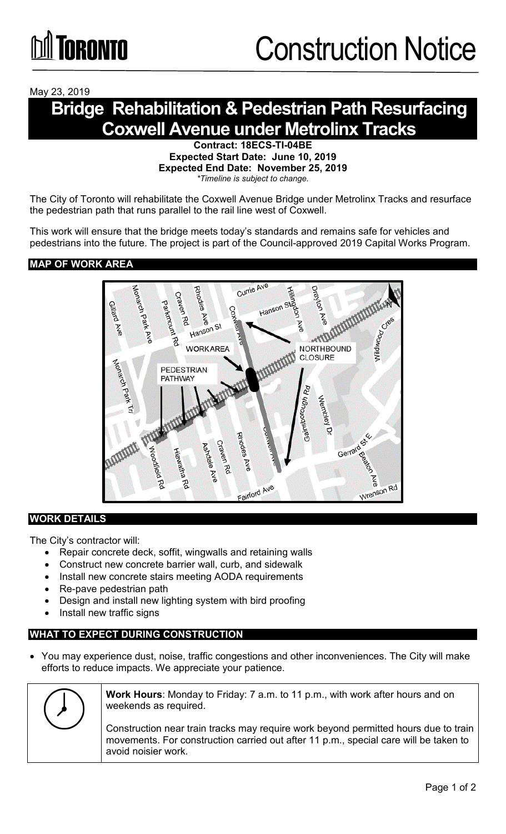May 23, 2019

## **Bridge Rehabilitation & Pedestrian Path Resurfacing Coxwell Avenue under Metrolinx Tracks**

**Contract: 18ECS-TI-04BE Expected Start Date: June 10, 2019 Expected End Date: November 25, 2019** *\*Timeline is subject to change.*

The City of Toronto will rehabilitate the Coxwell Avenue Bridge under Metrolinx Tracks and resurface the pedestrian path that runs parallel to the rail line west of Coxwell.

This work will ensure that the bridge meets today's standards and remains safe for vehicles and pedestrians into the future. The project is part of the Council-approved 2019 Capital Works Program.

#### **MAP OF WORK AREA**



#### **WORK DETAILS**

The City's contractor will:

- Repair concrete deck, soffit, wingwalls and retaining walls
- Construct new concrete barrier wall, curb, and sidewalk
- Install new concrete stairs meeting AODA requirements
- Re-pave pedestrian path
- Design and install new lighting system with bird proofing
- Install new traffic signs

#### **WHAT TO EXPECT DURING CONSTRUCTION**

• You may experience dust, noise, traffic congestions and other inconveniences. The City will make efforts to reduce impacts. We appreciate your patience.

|  | Work Hours: Monday to Friday: 7 a.m. to 11 p.m., with work after hours and on<br>weekends as required.                                                                                             |
|--|----------------------------------------------------------------------------------------------------------------------------------------------------------------------------------------------------|
|  | Construction near train tracks may require work beyond permitted hours due to train<br>movements. For construction carried out after 11 p.m., special care will be taken to<br>avoid noisier work. |